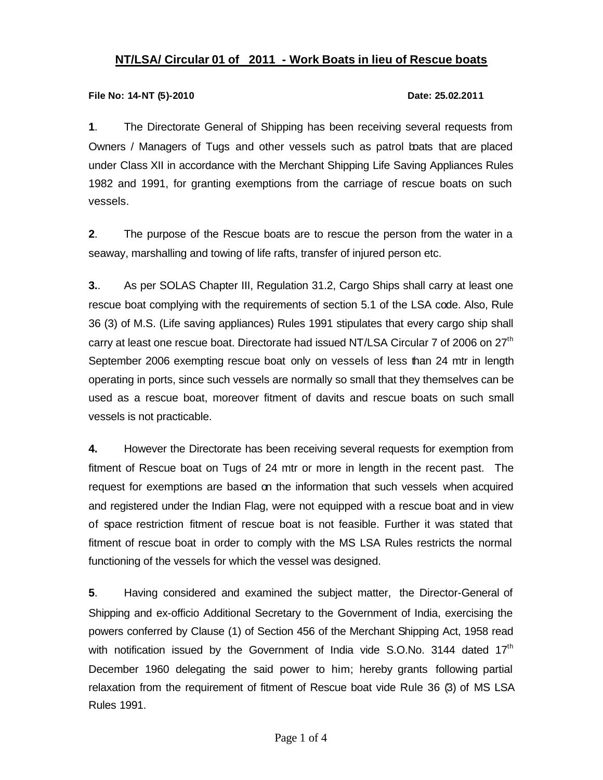# **NT/LSA/ Circular 01 of 2011 - Work Boats in lieu of Rescue boats**

### **File No: 14-NT (5)-2010 Date: 25.02.2011**

**1**. The Directorate General of Shipping has been receiving several requests from Owners / Managers of Tugs and other vessels such as patrol boats that are placed under Class XII in accordance with the Merchant Shipping Life Saving Appliances Rules 1982 and 1991, for granting exemptions from the carriage of rescue boats on such vessels.

**2**. The purpose of the Rescue boats are to rescue the person from the water in a seaway, marshalling and towing of life rafts, transfer of injured person etc.

**3.**. As per SOLAS Chapter III, Regulation 31.2, Cargo Ships shall carry at least one rescue boat complying with the requirements of section 5.1 of the LSA code. Also, Rule 36 (3) of M.S. (Life saving appliances) Rules 1991 stipulates that every cargo ship shall carry at least one rescue boat. Directorate had issued NT/LSA Circular 7 of 2006 on 27<sup>th</sup> September 2006 exempting rescue boat only on vessels of less than 24 mtr in length operating in ports, since such vessels are normally so small that they themselves can be used as a rescue boat, moreover fitment of davits and rescue boats on such small vessels is not practicable.

**4.** However the Directorate has been receiving several requests for exemption from fitment of Rescue boat on Tugs of 24 mtr or more in length in the recent past. The request for exemptions are based on the information that such vessels when acquired and registered under the Indian Flag, were not equipped with a rescue boat and in view of space restriction fitment of rescue boat is not feasible. Further it was stated that fitment of rescue boat in order to comply with the MS LSA Rules restricts the normal functioning of the vessels for which the vessel was designed.

**5**. Having considered and examined the subject matter, the Director-General of Shipping and ex-officio Additional Secretary to the Government of India, exercising the powers conferred by Clause (1) of Section 456 of the Merchant Shipping Act, 1958 read with notification issued by the Government of India vide S.O.No. 3144 dated  $17<sup>th</sup>$ December 1960 delegating the said power to him; hereby grants following partial relaxation from the requirement of fitment of Rescue boat vide Rule 36 (3) of MS LSA Rules 1991.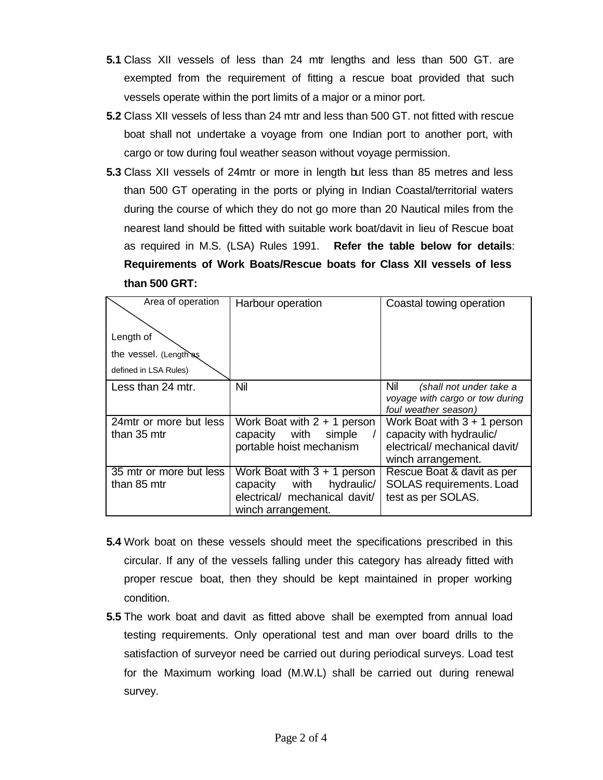- **5.1** Class XII vessels of less than 24 mtr lengths and less than 500 GT. are exempted from the requirement of fitting a rescue boat provided that such vessels operate within the port limits of a major or a minor port.
- **5.2** Class XII vessels of less than 24 mtr and less than 500 GT. not fitted with rescue boat shall not undertake a voyage from one Indian port to another port, with cargo or tow during foul weather season without voyage permission.
- **5.3** Class XII vessels of 24mtr or more in length but less than 85 metres and less than 500 GT operating in the ports or plying in Indian Coastal/territorial waters during the course of which they do not go more than 20 Nautical miles from the nearest land should be fitted with suitable work boat/davit in lieu of Rescue boat as required in M.S. (LSA) Rules 1991. **Refer the table below for details**: **Requirements of Work Boats/Rescue boats for Class XII vessels of less than 500 GRT:**

| Area of operation       | Harbour operation              | Coastal towing operation                                |
|-------------------------|--------------------------------|---------------------------------------------------------|
| Length of               |                                |                                                         |
| the vessel. (Length as  |                                |                                                         |
| defined in LSA Rules)   |                                |                                                         |
| Less than 24 mtr.       | Nil                            | Nil<br>(shall not under take a                          |
|                         |                                | voyage with cargo or tow during<br>foul weather season) |
| 24 mtr or more but less | Work Boat with $2 + 1$ person  | Work Boat with $3 + 1$ person                           |
| than 35 mtr             | with<br>capacity<br>simple     | capacity with hydraulic/                                |
|                         | portable hoist mechanism       | electrical/ mechanical davit/                           |
|                         |                                | winch arrangement.                                      |
| 35 mtr or more but less | Work Boat with $3 + 1$ person  | Rescue Boat & davit as per                              |
| than 85 mtr             | with<br>hydraulic/<br>capacity | SOLAS requirements. Load                                |
|                         | electrical/ mechanical davit/  | test as per SOLAS.                                      |
|                         | winch arrangement.             |                                                         |

- **5.4** Work boat on these vessels should meet the specifications prescribed in this circular. If any of the vessels falling under this category has already fitted with proper rescue boat, then they should be kept maintained in proper working condition.
- **5.5** The work boat and davit as fitted above shall be exempted from annual load testing requirements. Only operational test and man over board drills to the satisfaction of surveyor need be carried out during periodical surveys. Load test for the Maximum working load (M.W.L) shall be carried out during renewal survey.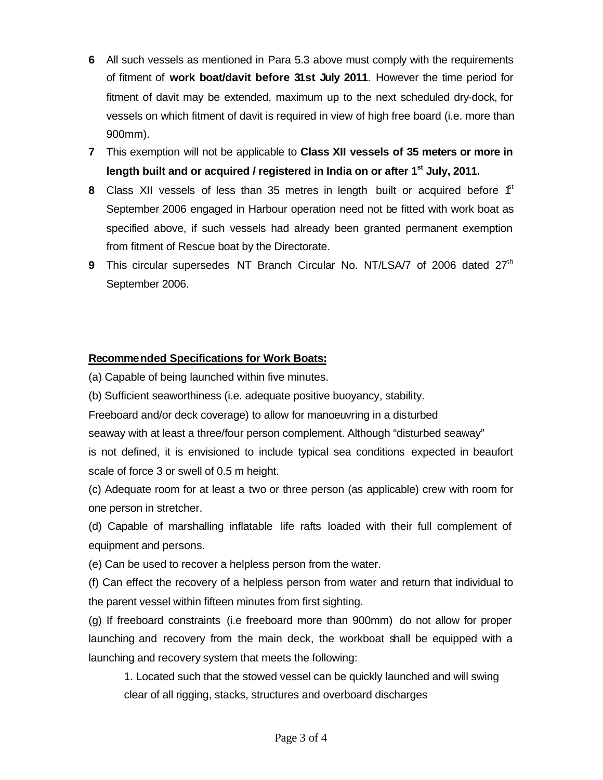- **6** All such vessels as mentioned in Para 5.3 above must comply with the requirements of fitment of **work boat/davit before 31st July 2011**. However the time period for fitment of davit may be extended, maximum up to the next scheduled dry-dock, for vessels on which fitment of davit is required in view of high free board (i.e. more than 900mm).
- **7** This exemption will not be applicable to **Class XII vessels of 35 meters or more in length built and or acquired / registered in India on or after 1 st July, 2011.**
- **8** Class XII vessels of less than 35 metres in length built or acquired before  $f<sup>th</sup>$ September 2006 engaged in Harbour operation need not be fitted with work boat as specified above, if such vessels had already been granted permanent exemption from fitment of Rescue boat by the Directorate.
- **9** This circular supersedes NT Branch Circular No. NT/LSA/7 of 2006 dated 27<sup>th</sup> September 2006.

# **Recommended Specifications for Work Boats:**

(a) Capable of being launched within five minutes.

(b) Sufficient seaworthiness (i.e. adequate positive buoyancy, stability.

Freeboard and/or deck coverage) to allow for manoeuvring in a disturbed

seaway with at least a three/four person complement. Although "disturbed seaway" is not defined, it is envisioned to include typical sea conditions expected in beaufort scale of force 3 or swell of 0.5 m height.

(c) Adequate room for at least a two or three person (as applicable) crew with room for one person in stretcher.

(d) Capable of marshalling inflatable life rafts loaded with their full complement of equipment and persons.

(e) Can be used to recover a helpless person from the water.

(f) Can effect the recovery of a helpless person from water and return that individual to the parent vessel within fifteen minutes from first sighting.

(g) If freeboard constraints (i.e freeboard more than 900mm) do not allow for proper launching and recovery from the main deck, the workboat shall be equipped with a launching and recovery system that meets the following:

1. Located such that the stowed vessel can be quickly launched and will swing clear of all rigging, stacks, structures and overboard discharges